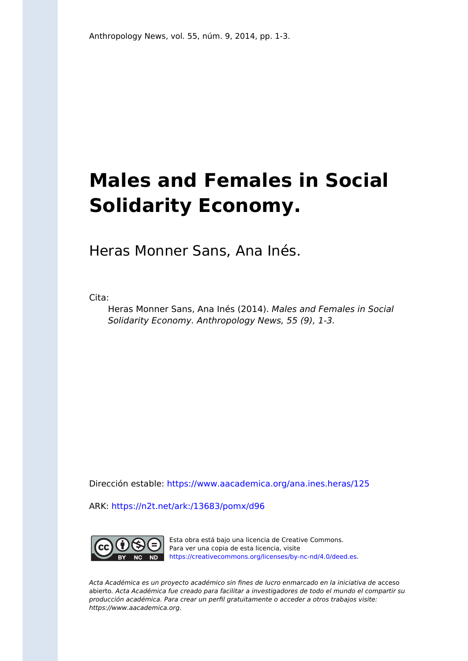# **Males and Females in Social Solidarity Economy.**

Heras Monner Sans, Ana Inés.

Cita:

Heras Monner Sans, Ana Inés (2014). Males and Females in Social Solidarity Economy. Anthropology News, 55 (9), 1-3.

Dirección estable:<https://www.aacademica.org/ana.ines.heras/125>

ARK: <https://n2t.net/ark:/13683/pomx/d96>



Esta obra está bajo una licencia de Creative Commons. Para ver una copia de esta licencia, visite [https://creativecommons.org/licenses/by-nc-nd/4.0/deed.es.](https://creativecommons.org/licenses/by-nc-nd/4.0/deed.es)

Acta Académica es un proyecto académico sin fines de lucro enmarcado en la iniciativa de acceso abierto. Acta Académica fue creado para facilitar a investigadores de todo el mundo el compartir su producción académica. Para crear un perfil gratuitamente o acceder a otros trabajos visite: https://www.aacademica.org.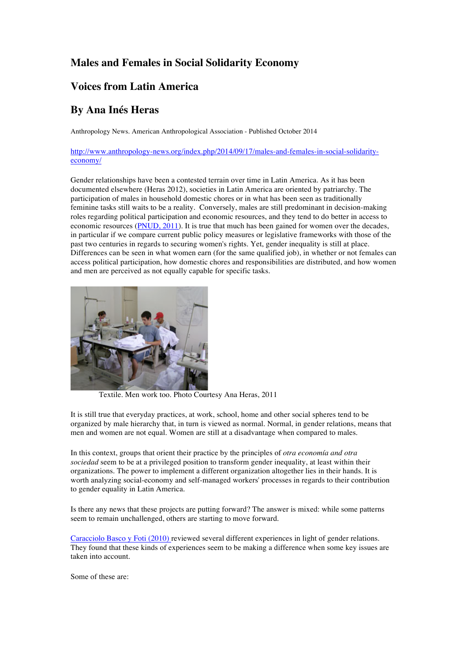### **Males and Females in Social Solidarity Economy**

## **Voices from Latin America**

## **By Ana Inés Heras**

Anthropology News. American Anthropological Association - Published October 2014

http://www.anthropology-news.org/index.php/2014/09/17/males-and-females-in-social-solidarityeconomy/

Gender relationships have been a contested terrain over time in Latin America. As it has been documented elsewhere (Heras 2012), societies in Latin America are oriented by patriarchy. The participation of males in household domestic chores or in what has been seen as traditionally feminine tasks still waits to be a reality. Conversely, males are still predominant in decision-making roles regarding political participation and economic resources, and they tend to do better in access to economic resources (PNUD, 2011). It is true that much has been gained for women over the decades, in particular if we compare current public policy measures or legislative frameworks with those of the past two centuries in regards to securing women's rights. Yet, gender inequality is still at place. Differences can be seen in what women earn (for the same qualified job), in whether or not females can access political participation, how domestic chores and responsibilities are distributed, and how women and men are perceived as not equally capable for specific tasks.



Textile. Men work too. Photo Courtesy Ana Heras, 2011

It is still true that everyday practices, at work, school, home and other social spheres tend to be organized by male hierarchy that, in turn is viewed as normal. Normal, in gender relations, means that men and women are not equal. Women are still at a disadvantage when compared to males.

In this context, groups that orient their practice by the principles of *otra economía and otra sociedad* seem to be at a privileged position to transform gender inequality, at least within their organizations. The power to implement a different organization altogether lies in their hands. It is worth analyzing social-economy and self-managed workers' processes in regards to their contribution to gender equality in Latin America.

Is there any news that these projects are putting forward? The answer is mixed: while some patterns seem to remain unchallenged, others are starting to move forward.

Caracciolo Basco y Foti (2010) reviewed several different experiences in light of gender relations. They found that these kinds of experiences seem to be making a difference when some key issues are taken into account.

Some of these are: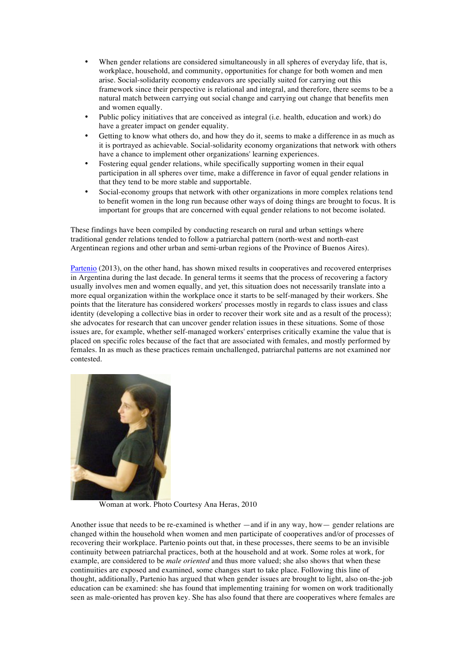- When gender relations are considered simultaneously in all spheres of everyday life, that is, workplace, household, and community, opportunities for change for both women and men arise. Social-solidarity economy endeavors are specially suited for carrying out this framework since their perspective is relational and integral, and therefore, there seems to be a natural match between carrying out social change and carrying out change that benefits men and women equally.
- Public policy initiatives that are conceived as integral (i.e. health, education and work) do have a greater impact on gender equality.
- Getting to know what others do, and how they do it, seems to make a difference in as much as it is portrayed as achievable. Social-solidarity economy organizations that network with others have a chance to implement other organizations' learning experiences.
- Fostering equal gender relations, while specifically supporting women in their equal participation in all spheres over time, make a difference in favor of equal gender relations in that they tend to be more stable and supportable.
- Social-economy groups that network with other organizations in more complex relations tend to benefit women in the long run because other ways of doing things are brought to focus. It is important for groups that are concerned with equal gender relations to not become isolated.

These findings have been compiled by conducting research on rural and urban settings where traditional gender relations tended to follow a patriarchal pattern (north-west and north-east Argentinean regions and other urban and semi-urban regions of the Province of Buenos Aires).

Partenio (2013), on the other hand, has shown mixed results in cooperatives and recovered enterprises in Argentina during the last decade. In general terms it seems that the process of recovering a factory usually involves men and women equally, and yet, this situation does not necessarily translate into a more equal organization within the workplace once it starts to be self-managed by their workers. She points that the literature has considered workers' processes mostly in regards to class issues and class identity (developing a collective bias in order to recover their work site and as a result of the process); she advocates for research that can uncover gender relation issues in these situations. Some of those issues are, for example, whether self-managed workers' enterprises critically examine the value that is placed on specific roles because of the fact that are associated with females, and mostly performed by females. In as much as these practices remain unchallenged, patriarchal patterns are not examined nor contested.



Woman at work. Photo Courtesy Ana Heras, 2010

Another issue that needs to be re-examined is whether —and if in any way, how— gender relations are changed within the household when women and men participate of cooperatives and/or of processes of recovering their workplace. Partenio points out that, in these processes, there seems to be an invisible continuity between patriarchal practices, both at the household and at work. Some roles at work, for example, are considered to be *male oriented* and thus more valued; she also shows that when these continuities are exposed and examined, some changes start to take place. Following this line of thought, additionally, Partenio has argued that when gender issues are brought to light, also on-the-job education can be examined: she has found that implementing training for women on work traditionally seen as male-oriented has proven key. She has also found that there are cooperatives where females are